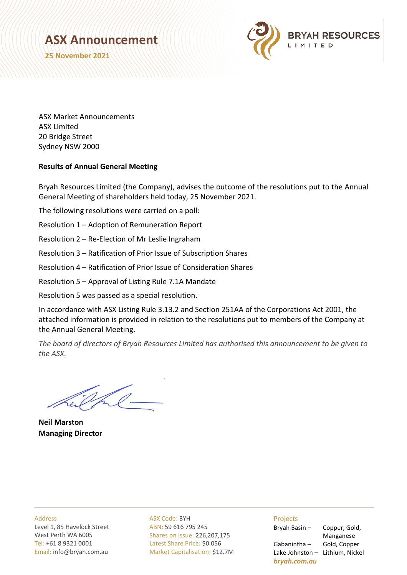## **ASX Announcement**

**25 November 2021**



ASX Market Announcements ASX Limited 20 Bridge Street Sydney NSW 2000

## **Results of Annual General Meeting**

Bryah Resources Limited (the Company), advises the outcome of the resolutions put to the Annual General Meeting of shareholders held today, 25 November 2021.

The following resolutions were carried on a poll:

Resolution 1 – Adoption of Remuneration Report

Resolution 2 – Re-Election of Mr Leslie Ingraham

Resolution 3 – Ratification of Prior Issue of Subscription Shares

Resolution 4 – Ratification of Prior Issue of Consideration Shares

Resolution 5 – Approval of Listing Rule 7.1A Mandate

Resolution 5 was passed as a special resolution.

In accordance with ASX Listing Rule 3.13.2 and Section 251AA of the Corporations Act 2001, the attached information is provided in relation to the resolutions put to members of the Company at the Annual General Meeting.

*The board of directors of Bryah Resources Limited has authorised this announcement to be given to the ASX.*

**Neil Marston Managing Director**

Address Level 1, 85 Havelock Street West Perth WA 6005 Tel: +61 8 9321 0001 Email: info@bryah.com.au ASX Code: BYH ABN: 59 616 795 245 Shares on issue: 226,207,175 Latest Share Price: \$0.056 Market Capitalisation: \$12.7M

## Projects

Gabanintha – Gold, Copper Lake Johnston – Lithium, Nickel *bryah.com.au*

Bryah Basin – Copper, Gold, Manganese